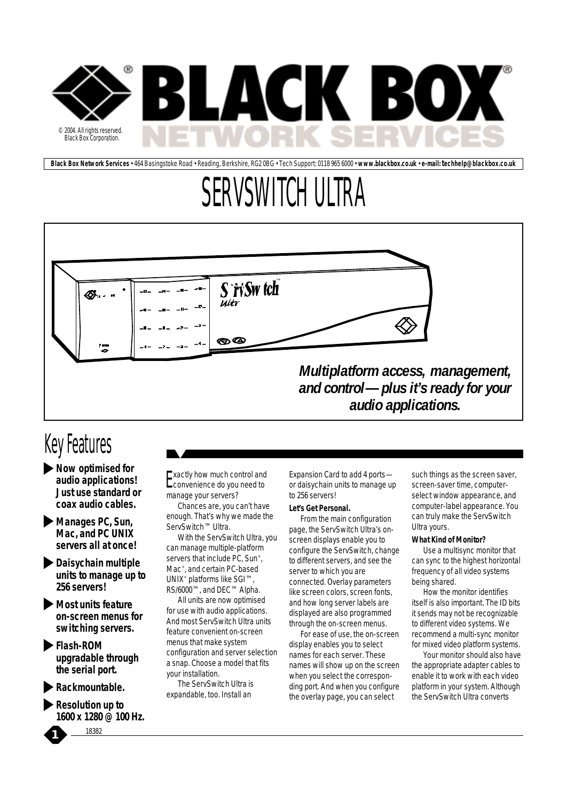

**Black Box Network Services** • 464 Basingstoke Road • Reading, Berkshire, RG2 0BG • Tech Support: 0118 965 6000 • **www.blackbox.co.uk** • **e-mail: techhelp@blackbox.co.uk**

# SERVSWITCH ULTRA



### Key Features

- *Now optimised for audio applications! Just use standard or coax audio cables.*
- *Manages PC, Sun, Mac, and PC UNIX servers all at once!*
- *Daisychain multiple units to manage up to 256 servers!*
- *Most units feature on-screen menus for switching servers.*
- *Flash-ROM upgradable through the serial port.*
- *Rackmountable.*
- *Resolution up to 1600 x 1280 @ 100 Hz.*

*1* <sup>18382</sup>

Exactly how much control and convenience do you need to manage your servers?

Chances are, you can't have enough. That's why we made the ServSwitch™ Ultra.

With the ServSwitch Ultra, you can manage multiple-platform servers that include PC, Sun<sup>®</sup>, Mac® , and certain PC-based UNIX® platforms like SGI™, RS/6000™, and DEC™ Alpha.

All units are now optimised for use with audio applications. And most ServSwitch Ultra units feature convenient on-screen menus that make system configuration and server selection a snap. Choose a model that fits your installation.

The ServSwitch Ultra is expandable, too. Install an

Expansion Card to add 4 ports or daisychain units to manage up to 256 servers!

#### **Let's Get Personal.**

From the main configuration page, the ServSwitch Ultra's onscreen displays enable you to configure the ServSwitch, change to different servers, and see the server to which you are connected. Overlay parameters like screen colors, screen fonts, and how long server labels are displayed are also programmed through the on-screen menus.

For ease of use, the on-screen display enables you to select names for each server. These names will show up on the screen when you select the corresponding port. And when you configure the overlay page, you can select

such things as the screen saver, screen-saver time, computerselect window appearance, and computer-label appearance. You can truly make the ServSwitch Ultra yours.

#### **What Kind of Monitor?**

Use a multisync monitor that can sync to the highest horizontal frequency of all video systems being shared.

How the monitor identifies itself is also important. The ID bits it sends may not be recognizable to different video systems. We recommend a multi-sync monitor for mixed video platform systems.

Your monitor should also have the appropriate adapter cables to enable it to work with each video platform in your system. Although the ServSwitch Ultra converts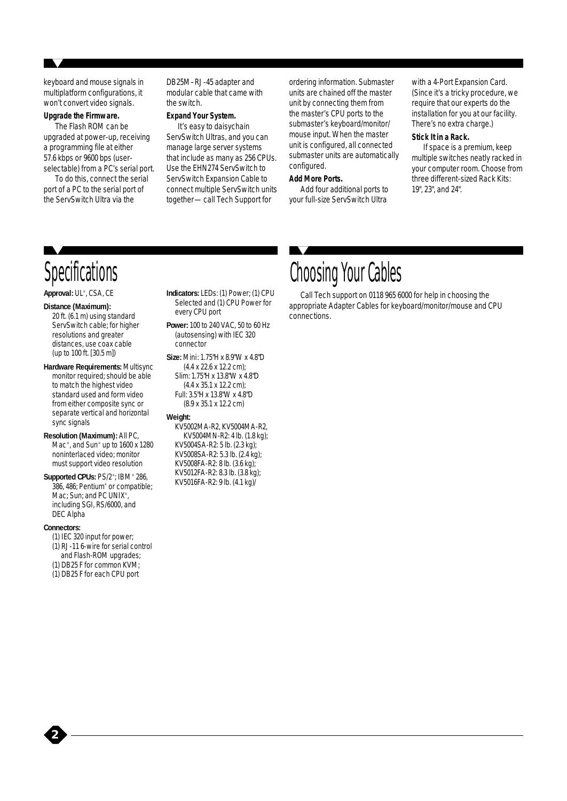keyboard and mouse signals in multiplatform configurations, it won't convert video signals.

#### **Upgrade the Firmware.**

The Flash ROM can be upgraded at power-up, receiving a programming file at either 57.6 kbps or 9600 bps (userselectable) from a PC's serial port.

To do this, connect the serial port of a PC to the serial port of the ServSwitch Ultra via the

DB25M–RJ-45 adapter and modular cable that came with the switch.

#### **Expand Your System.**

It's easy to daisychain ServSwitch Ultras, and you can manage large server systems that include as many as 256 CPUs. Use the EHN274 ServSwitch to ServSwitch Expansion Cable to connect multiple ServSwitch units together—call Tech Support for

ordering information. Submaster units are chained off the master unit by connecting them from the master's CPU ports to the submaster's keyboard/monitor/ mouse input. When the master unit is configured, all connected submaster units are automatically configured.

#### **Add More Ports.**

Add four additional ports to your full-size ServSwitch Ultra

with a 4-Port Expansion Card. (Since it's a tricky procedure, we require that our experts do the installation for you at our facility. There's no extra charge.)

#### **Stick It in a Rack.**

If space is a premium, keep multiple switches neatly racked in your computer room. Choose from three different-sized Rack Kits: 19", 23", and 24".

### **Specifications**

**Approval:** UL® , CSA, CE

#### **Distance (Maximum):**

20 ft. (6.1 m) using standard ServSwitch cable; for higher resolutions and greater distances, use coax cable (up to 100 ft. [30.5 m])

**Hardware Requirements:** Multisync monitor required; should be able to match the highest video standard used and form video from either composite sync or separate vertical and horizontal sync signals

**Resolution (Maximum):** All PC, Mac<sup>®</sup>, and Sun® up to 1600 x 1280 noninterlaced video; monitor must support video resolution

Supported CPUs: PS/2<sup>®</sup>; IBM<sup>®</sup> 286, 386, 486; Pentium® or compatible; Mac; Sun; and PC UNIX®, including SGI, RS/6000, and DEC Alpha

#### **Connectors:**

*2*

- (1) IEC 320 input for power;
- (1) RJ-11 6-wire for serial control and Flash-ROM upgrades;
- (1) DB25 F for common KVM;
- (1) DB25 F for each CPU port

**Indicators:** LEDs: (1) Power; (1) CPU Selected and (1) CPU Power for every CPU port **Power:** 100 to 240 VAC, 50 to 60 Hz

(autosensing) with IEC 320 connector

**Size:** Mini: 1.75"H x 8.9"W x 4.8"D (4.4 x 22.6 x 12.2 cm); Slim: 1.75"H x 13.8"W x 4.8"D (4.4 x 35.1 x 12.2 cm); Full: 3.5"H x 13.8"W x 4.8"D (8.9 x 35.1 x 12.2 cm)

#### **Weight:**

KV5002MA-R2, KV5004MA-R2, KV5004MN-R2: 4 lb. (1.8 kg); KV5004SA-R2: 5 lb. (2.3 kg); KV5008SA-R2: 5.3 lb. (2.4 kg); KV5008FA-R2: 8 lb. (3.6 kg); KV5012FA-R2: 8.3 lb. (3.8 kg); KV5016FA-R2: 9 lb. (4.1 kg)/

### Choosing Your Cables

Call Tech support on 0118 965 6000 for help in choosing the appropriate Adapter Cables for keyboard/monitor/mouse and CPU connections.